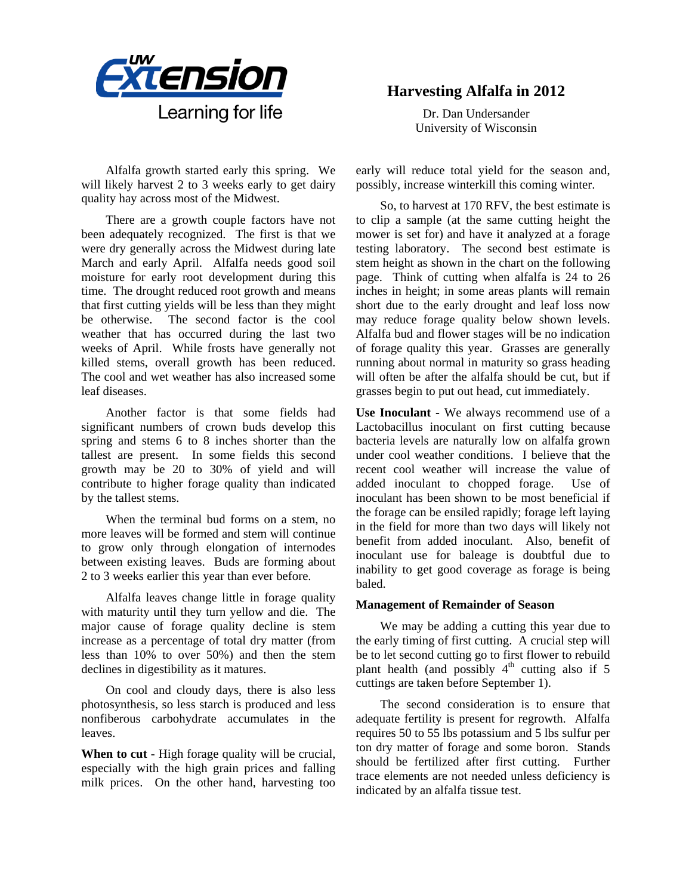

Alfalfa growth started early this spring. We will likely harvest 2 to 3 weeks early to get dairy quality hay across most of the Midwest.

There are a growth couple factors have not been adequately recognized. The first is that we were dry generally across the Midwest during late March and early April. Alfalfa needs good soil moisture for early root development during this time. The drought reduced root growth and means that first cutting yields will be less than they might be otherwise. The second factor is the cool weather that has occurred during the last two weeks of April. While frosts have generally not killed stems, overall growth has been reduced. The cool and wet weather has also increased some leaf diseases.

Another factor is that some fields had significant numbers of crown buds develop this spring and stems 6 to 8 inches shorter than the tallest are present. In some fields this second growth may be 20 to 30% of yield and will contribute to higher forage quality than indicated by the tallest stems.

When the terminal bud forms on a stem, no more leaves will be formed and stem will continue to grow only through elongation of internodes between existing leaves. Buds are forming about 2 to 3 weeks earlier this year than ever before.

Alfalfa leaves change little in forage quality with maturity until they turn yellow and die. The major cause of forage quality decline is stem increase as a percentage of total dry matter (from less than 10% to over 50%) and then the stem declines in digestibility as it matures.

On cool and cloudy days, there is also less photosynthesis, so less starch is produced and less nonfiberous carbohydrate accumulates in the leaves.

**When to cut -** High forage quality will be crucial, especially with the high grain prices and falling milk prices. On the other hand, harvesting too

## **Harvesting Alfalfa in 2012**

Dr. Dan Undersander University of Wisconsin

early will reduce total yield for the season and, possibly, increase winterkill this coming winter.

So, to harvest at 170 RFV, the best estimate is to clip a sample (at the same cutting height the mower is set for) and have it analyzed at a forage testing laboratory. The second best estimate is stem height as shown in the chart on the following page. Think of cutting when alfalfa is 24 to 26 inches in height; in some areas plants will remain short due to the early drought and leaf loss now may reduce forage quality below shown levels. Alfalfa bud and flower stages will be no indication of forage quality this year. Grasses are generally running about normal in maturity so grass heading will often be after the alfalfa should be cut, but if grasses begin to put out head, cut immediately.

**Use Inoculant -** We always recommend use of a Lactobacillus inoculant on first cutting because bacteria levels are naturally low on alfalfa grown under cool weather conditions. I believe that the recent cool weather will increase the value of added inoculant to chopped forage. Use of inoculant has been shown to be most beneficial if the forage can be ensiled rapidly; forage left laying in the field for more than two days will likely not benefit from added inoculant. Also, benefit of inoculant use for baleage is doubtful due to inability to get good coverage as forage is being baled.

## **Management of Remainder of Season**

We may be adding a cutting this year due to the early timing of first cutting. A crucial step will be to let second cutting go to first flower to rebuild plant health (and possibly  $4<sup>th</sup>$  cutting also if 5 cuttings are taken before September 1).

The second consideration is to ensure that adequate fertility is present for regrowth. Alfalfa requires 50 to 55 lbs potassium and 5 lbs sulfur per ton dry matter of forage and some boron. Stands should be fertilized after first cutting. Further trace elements are not needed unless deficiency is indicated by an alfalfa tissue test.